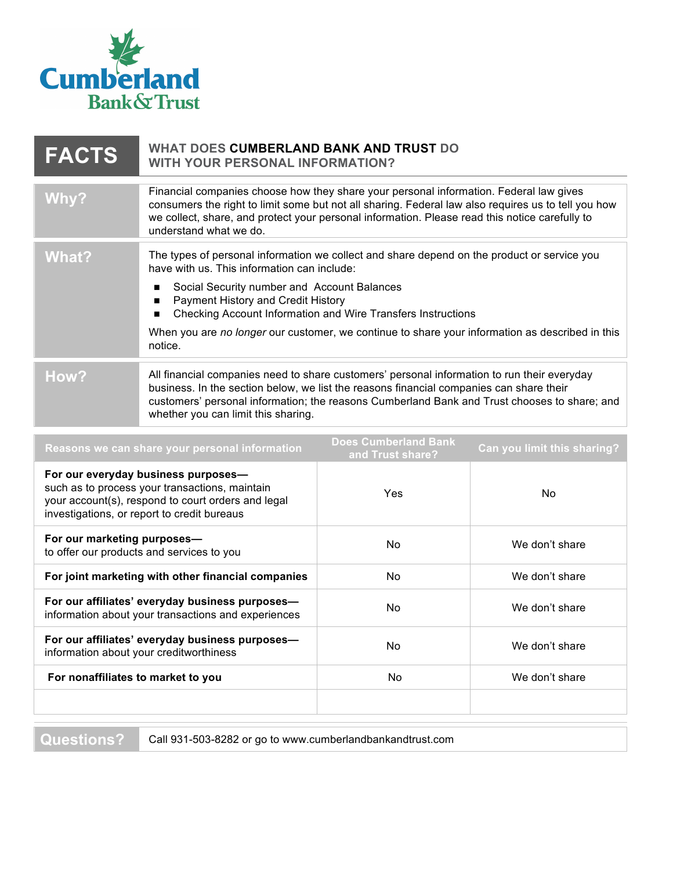

| <b>FACTS</b> | WHAT DOES CUMBERLAND BANK AND TRUST DO<br><b>WITH YOUR PERSONAL INFORMATION?</b>                                                                                                                                                                                                                                                                                                                                             |
|--------------|------------------------------------------------------------------------------------------------------------------------------------------------------------------------------------------------------------------------------------------------------------------------------------------------------------------------------------------------------------------------------------------------------------------------------|
| Why?         | Financial companies choose how they share your personal information. Federal law gives<br>consumers the right to limit some but not all sharing. Federal law also requires us to tell you how<br>we collect, share, and protect your personal information. Please read this notice carefully to<br>understand what we do.                                                                                                    |
| What?        | The types of personal information we collect and share depend on the product or service you<br>have with us. This information can include:<br>Social Security number and Account Balances<br>п<br>Payment History and Credit History<br>п<br>Checking Account Information and Wire Transfers Instructions<br>■<br>When you are no longer our customer, we continue to share your information as described in this<br>notice. |
| How?         | All financial companies need to share customers' personal information to run their everyday<br>business. In the section below, we list the reasons financial companies can share their<br>customers' personal information; the reasons Cumberland Bank and Trust chooses to share; and<br>whether you can limit this sharing.                                                                                                |

| Reasons we can share your personal information                                                                                                                                             | <b>Does Cumberland Bank</b><br>and Trust share? | Can you limit this sharing? |
|--------------------------------------------------------------------------------------------------------------------------------------------------------------------------------------------|-------------------------------------------------|-----------------------------|
| For our everyday business purposes-<br>such as to process your transactions, maintain<br>your account(s), respond to court orders and legal<br>investigations, or report to credit bureaus | Yes                                             | No.                         |
| For our marketing purposes-<br>to offer our products and services to you                                                                                                                   | <b>No</b>                                       | We don't share              |
| For joint marketing with other financial companies                                                                                                                                         | No.                                             | We don't share              |
| For our affiliates' everyday business purposes-<br>information about your transactions and experiences                                                                                     | No.                                             | We don't share              |
| For our affiliates' everyday business purposes-<br>information about your creditworthiness                                                                                                 | No.                                             | We don't share              |
| For nonaffiliates to market to you                                                                                                                                                         | No.                                             | We don't share              |
|                                                                                                                                                                                            |                                                 |                             |

**Questions?** Call 931-503-8282 or go to www.cumberlandbankandtrust.com